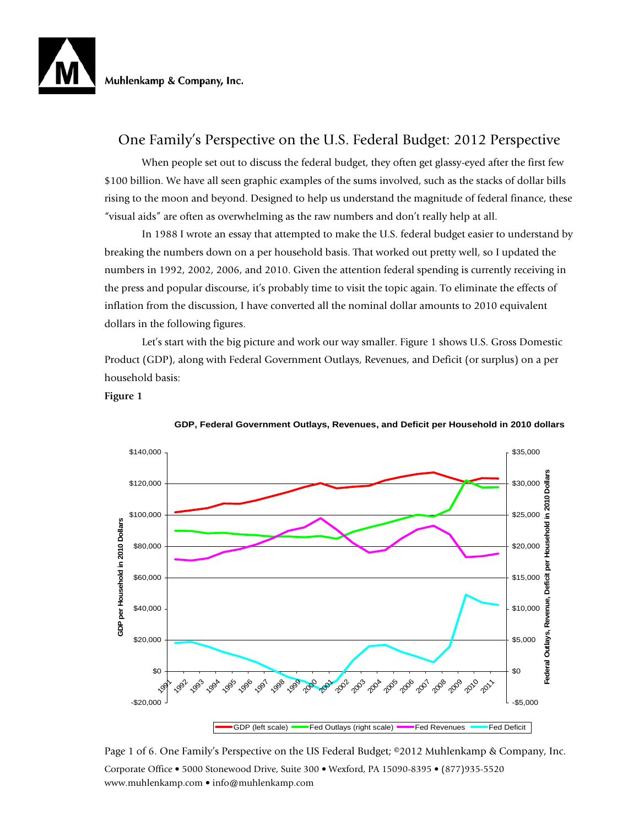

# One Family's Perspective on the U.S. Federal Budget: 2012 Perspective

When people set out to discuss the federal budget, they often get glassy-eyed after the first few \$100 billion. We have all seen graphic examples of the sums involved, such as the stacks of dollar bills rising to the moon and beyond. Designed to help us understand the magnitude of federal finance, these "visual aids" are often as overwhelming as the raw numbers and don't really help at all.

 In 1988 I wrote an essay that attempted to make the U.S. federal budget easier to understand by breaking the numbers down on a per household basis. That worked out pretty well, so I updated the numbers in 1992, 2002, 2006, and 2010. Given the attention federal spending is currently receiving in the press and popular discourse, it's probably time to visit the topic again. To eliminate the effects of inflation from the discussion, I have converted all the nominal dollar amounts to 2010 equivalent dollars in the following figures.

 Let's start with the big picture and work our way smaller. Figure 1 shows U.S. Gross Domestic Product (GDP), along with Federal Government Outlays, Revenues, and Deficit (or surplus) on a per household basis:

### **Figure 1**



**GDP, Federal Government Outlays, Revenues, and Deficit per Household in 2010 dollars**

Corporate Office • 5000 Stonewood Drive, Suite 300 • Wexford, PA 15090-8395 • (877)935-5520 www.muhlenkamp.com • info@muhlenkamp.com Page 1 of 6. One Family's Perspective on the US Federal Budget; ©2012 Muhlenkamp & Company, Inc.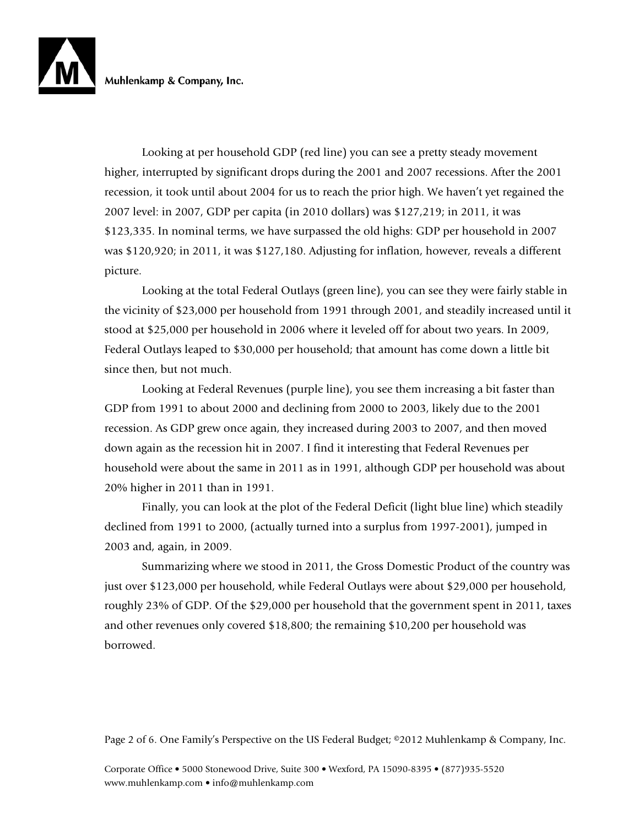Looking at per household GDP (red line) you can see a pretty steady movement higher, interrupted by significant drops during the 2001 and 2007 recessions. After the 2001 recession, it took until about 2004 for us to reach the prior high. We haven't yet regained the 2007 level: in 2007, GDP per capita (in 2010 dollars) was \$127,219; in 2011, it was \$123,335. In nominal terms, we have surpassed the old highs: GDP per household in 2007 was \$120,920; in 2011, it was \$127,180. Adjusting for inflation, however, reveals a different picture.

 Looking at the total Federal Outlays (green line), you can see they were fairly stable in the vicinity of \$23,000 per household from 1991 through 2001, and steadily increased until it stood at \$25,000 per household in 2006 where it leveled off for about two years. In 2009, Federal Outlays leaped to \$30,000 per household; that amount has come down a little bit since then, but not much.

 Looking at Federal Revenues (purple line), you see them increasing a bit faster than GDP from 1991 to about 2000 and declining from 2000 to 2003, likely due to the 2001 recession. As GDP grew once again, they increased during 2003 to 2007, and then moved down again as the recession hit in 2007. I find it interesting that Federal Revenues per household were about the same in 2011 as in 1991, although GDP per household was about 20% higher in 2011 than in 1991.

 Finally, you can look at the plot of the Federal Deficit (light blue line) which steadily declined from 1991 to 2000, (actually turned into a surplus from 1997-2001), jumped in 2003 and, again, in 2009.

 Summarizing where we stood in 2011, the Gross Domestic Product of the country was just over \$123,000 per household, while Federal Outlays were about \$29,000 per household, roughly 23% of GDP. Of the \$29,000 per household that the government spent in 2011, taxes and other revenues only covered \$18,800; the remaining \$10,200 per household was borrowed.

Page 2 of 6. One Family's Perspective on the US Federal Budget; ©2012 Muhlenkamp & Company, Inc.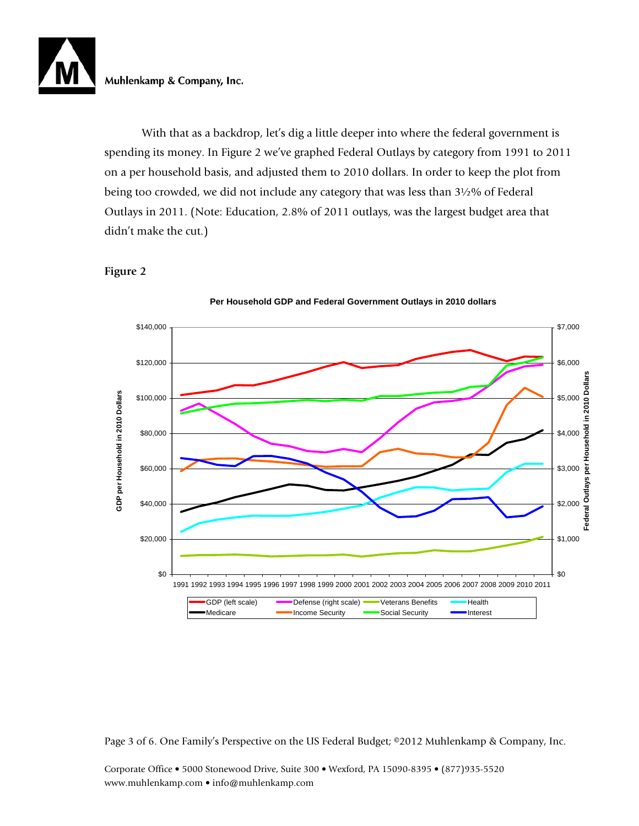

With that as a backdrop, let's dig a little deeper into where the federal government is spending its money. In Figure 2 we've graphed Federal Outlays by category from 1991 to 2011 on a per household basis, and adjusted them to 2010 dollars. In order to keep the plot from being too crowded, we did not include any category that was less than 3½% of Federal Outlays in 2011. (Note: Education, 2.8% of 2011 outlays, was the largest budget area that didn't make the cut.)

## **Figure 2**





Page 3 of 6. One Family's Perspective on the US Federal Budget; ©2012 Muhlenkamp & Company, Inc.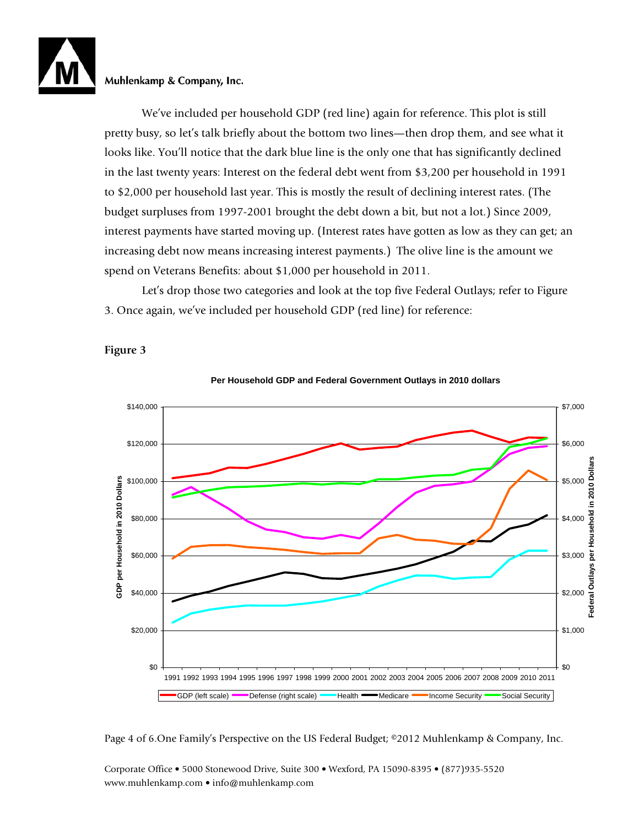We've included per household GDP (red line) again for reference. This plot is still pretty busy, so let's talk briefly about the bottom two lines—then drop them, and see what it looks like. You'll notice that the dark blue line is the only one that has significantly declined in the last twenty years: Interest on the federal debt went from \$3,200 per household in 1991 to \$2,000 per household last year. This is mostly the result of declining interest rates. (The budget surpluses from 1997-2001 brought the debt down a bit, but not a lot.) Since 2009, interest payments have started moving up. (Interest rates have gotten as low as they can get; an increasing debt now means increasing interest payments.) The olive line is the amount we spend on Veterans Benefits: about \$1,000 per household in 2011.

Let's drop those two categories and look at the top five Federal Outlays; refer to Figure 3. Once again, we've included per household GDP (red line) for reference:



**Per Household GDP and Federal Government Outlays in 2010 dollars**

Page 4 of 6.One Family's Perspective on the US Federal Budget; ©2012 Muhlenkamp & Company, Inc.

Corporate Office • 5000 Stonewood Drive, Suite 300 • Wexford, PA 15090-8395 • (877)935-5520 www.muhlenkamp.com • info@muhlenkamp.com

# **Figure 3**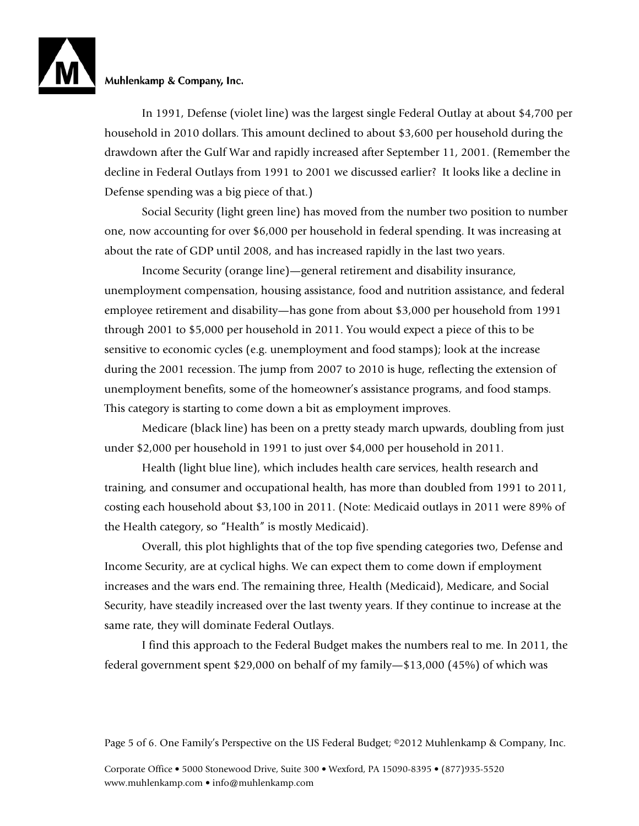In 1991, Defense (violet line) was the largest single Federal Outlay at about \$4,700 per household in 2010 dollars. This amount declined to about \$3,600 per household during the drawdown after the Gulf War and rapidly increased after September 11, 2001. (Remember the decline in Federal Outlays from 1991 to 2001 we discussed earlier? It looks like a decline in Defense spending was a big piece of that.)

Social Security (light green line) has moved from the number two position to number one, now accounting for over \$6,000 per household in federal spending. It was increasing at about the rate of GDP until 2008, and has increased rapidly in the last two years.

Income Security (orange line)—general retirement and disability insurance, unemployment compensation, housing assistance, food and nutrition assistance, and federal employee retirement and disability—has gone from about \$3,000 per household from 1991 through 2001 to \$5,000 per household in 2011. You would expect a piece of this to be sensitive to economic cycles (e.g. unemployment and food stamps); look at the increase during the 2001 recession. The jump from 2007 to 2010 is huge, reflecting the extension of unemployment benefits, some of the homeowner's assistance programs, and food stamps. This category is starting to come down a bit as employment improves.

Medicare (black line) has been on a pretty steady march upwards, doubling from just under \$2,000 per household in 1991 to just over \$4,000 per household in 2011.

Health (light blue line), which includes health care services, health research and training, and consumer and occupational health, has more than doubled from 1991 to 2011, costing each household about \$3,100 in 2011. (Note: Medicaid outlays in 2011 were 89% of the Health category, so "Health" is mostly Medicaid).

Overall, this plot highlights that of the top five spending categories two, Defense and Income Security, are at cyclical highs. We can expect them to come down if employment increases and the wars end. The remaining three, Health (Medicaid), Medicare, and Social Security, have steadily increased over the last twenty years. If they continue to increase at the same rate, they will dominate Federal Outlays.

I find this approach to the Federal Budget makes the numbers real to me. In 2011, the federal government spent \$29,000 on behalf of my family—\$13,000 (45%) of which was

Page 5 of 6. One Family's Perspective on the US Federal Budget; ©2012 Muhlenkamp & Company, Inc.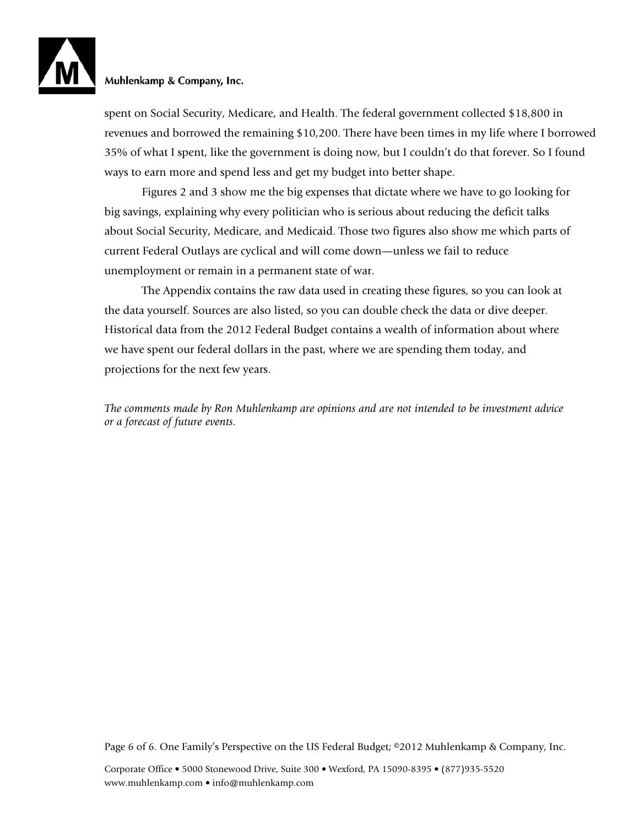spent on Social Security, Medicare, and Health. The federal government collected \$18,800 in revenues and borrowed the remaining \$10,200. There have been times in my life where I borrowed 35% of what I spent, like the government is doing now, but I couldn't do that forever. So I found ways to earn more and spend less and get my budget into better shape.

 Figures 2 and 3 show me the big expenses that dictate where we have to go looking for big savings, explaining why every politician who is serious about reducing the deficit talks about Social Security, Medicare, and Medicaid. Those two figures also show me which parts of current Federal Outlays are cyclical and will come down—unless we fail to reduce unemployment or remain in a permanent state of war.

The Appendix contains the raw data used in creating these figures, so you can look at the data yourself. Sources are also listed, so you can double check the data or dive deeper. Historical data from the 2012 Federal Budget contains a wealth of information about where we have spent our federal dollars in the past, where we are spending them today, and projections for the next few years.

*The comments made by Ron Muhlenkamp are opinions and are not intended to be investment advice or a forecast of future events.* 

Page 6 of 6. One Family's Perspective on the US Federal Budget; ©2012 Muhlenkamp & Company, Inc.